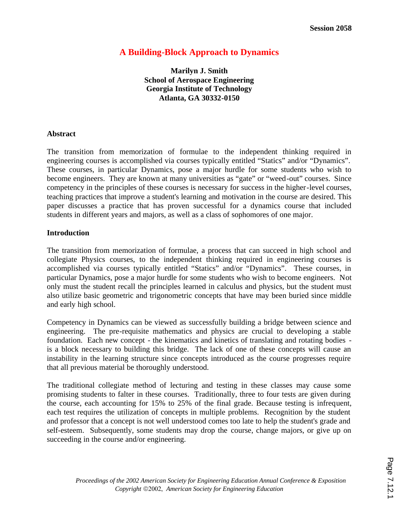# **A Building-Block Approach to Dynamics**

**Marilyn J. Smith School of Aerospace Engineering Georgia Institute of Technology Atlanta, GA 30332-0150** 

#### **Abstract**

The transition from memorization of formulae to the independent thinking required in engineering courses is accomplished via courses typically entitled "Statics" and/or "Dynamics". These courses, in particular Dynamics, pose a major hurdle for some students who wish to become engineers. They are known at many universities as "gate" or "weed-out" courses. Since competency in the principles of these courses is necessary for success in the higher-level courses, teaching practices that improve a student's learning and motivation in the course are desired. This paper discusses a practice that has proven successful for a dynamics course that included students in different years and majors, as well as a class of sophomores of one major.

## **Introduction**

The transition from memorization of formulae, a process that can succeed in high school and collegiate Physics courses, to the independent thinking required in engineering courses is accomplished via courses typically entitled "Statics" and/or "Dynamics". These courses, in particular Dynamics, pose a major hurdle for some students who wish to become engineers. Not only must the student recall the principles learned in calculus and physics, but the student must also utilize basic geometric and trigonometric concepts that have may been buried since middle and early high school.

Competency in Dynamics can be viewed as successfully building a bridge between science and engineering. The pre-requisite mathematics and physics are crucial to developing a stable foundation. Each new concept - the kinematics and kinetics of translating and rotating bodies is a block necessary to building this bridge. The lack of one of these concepts will cause an instability in the learning structure since concepts introduced as the course progresses require that all previous material be thoroughly understood.

The traditional collegiate method of lecturing and testing in these classes may cause some promising students to falter in these courses. Traditionally, three to four tests are given during the course, each accounting for 15% to 25% of the final grade. Because testing is infrequent, each test requires the utilization of concepts in multiple problems. Recognition by the student and professor that a concept is not well understood comes too late to help the student's grade and self-esteem. Subsequently, some students may drop the course, change majors, or give up on succeeding in the course and/or engineering.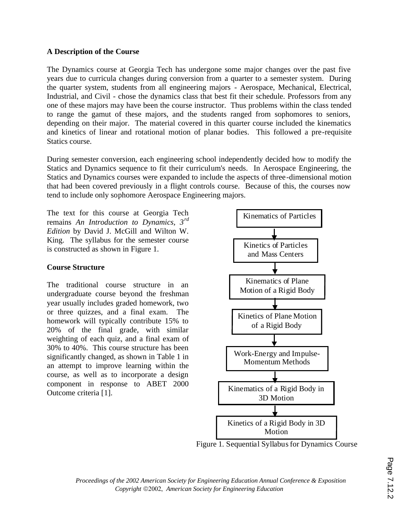## **A Description of the Course**

The Dynamics course at Georgia Tech has undergone some major changes over the past five years due to curricula changes during conversion from a quarter to a semester system. During the quarter system, students from all engineering majors - Aerospace, Mechanical, Electrical, Industrial, and Civil - chose the dynamics class that best fit their schedule. Professors from any one of these majors may have been the course instructor. Thus problems within the class tended to range the gamut of these majors, and the students ranged from sophomores to seniors, depending on their major. The material covered in this quarter course included the kinematics and kinetics of linear and rotational motion of planar bodies. This followed a pre-requisite Statics course.

During semester conversion, each engineering school independently decided how to modify the Statics and Dynamics sequence to fit their curriculum's needs. In Aerospace Engineering, the Statics and Dynamics courses were expanded to include the aspects of three-dimensional motion that had been covered previously in a flight controls course. Because of this, the courses now tend to include only sophomore Aerospace Engineering majors.

The text for this course at Georgia Tech remains *An Introduction to Dynamics, 3rd Edition* by David J. McGill and Wilton W. King. The syllabus for the semester course is constructed as shown in Figure 1.

## **Course Structure**

The traditional course structure in an undergraduate course beyond the freshman year usually includes graded homework, two or three quizzes, and a final exam. The homework will typically contribute 15% to 20% of the final grade, with similar weighting of each quiz, and a final exam of 30% to 40%. This course structure has been significantly changed, as shown in Table 1 in an attempt to improve learning within the course, as well as to incorporate a design component in response to ABET 2000 Outcome criteria [1].



Figure 1. Sequential Syllabus for Dynamics Course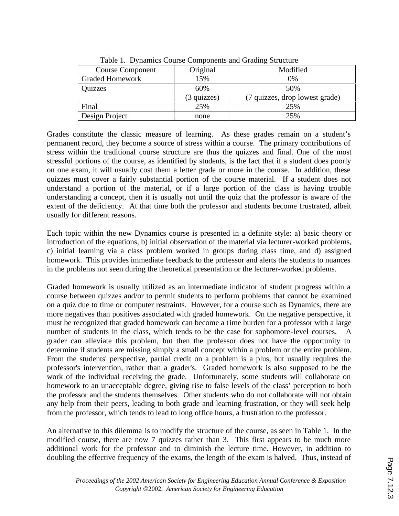| Tuble 1. D finalities could components and crading but acture |                      |                                |  |  |  |  |  |  |
|---------------------------------------------------------------|----------------------|--------------------------------|--|--|--|--|--|--|
| <b>Course Component</b>                                       | Original             | Modified                       |  |  |  |  |  |  |
| <b>Graded Homework</b>                                        | 15%                  | 0%                             |  |  |  |  |  |  |
| Quizzes                                                       | 60%                  | 50%                            |  |  |  |  |  |  |
|                                                               | $(3 \text{ quizes})$ | (7 quizzes, drop lowest grade) |  |  |  |  |  |  |
| Final                                                         | 25%                  | 25%                            |  |  |  |  |  |  |
| Design Project                                                | none                 | 25%                            |  |  |  |  |  |  |

Table 1. Dynamics Course Components and Grading Structure

Grades constitute the classic measure of learning. As these grades remain on a student's permanent record, they become a source of stress within a course. The primary contributions of stress within the traditional course structure are thus the quizzes and final. One of the most stressful portions of the course, as identified by students, is the fact that if a student does poorly on one exam, it will usually cost them a letter grade or more in the course. In addition, these quizzes must cover a fairly substantial portion of the course material. If a student does not understand a portion of the material, or if a large portion of the class is having trouble understanding a concept, then it is usually not until the quiz that the professor is aware of the extent of the deficiency. At that time both the professor and students become frustrated, albeit usually for different reasons.

Each topic within the new Dynamics course is presented in a definite style: a) basic theory or introduction of the equations, b) initial observation of the material via lecturer-worked problems, c) initial learning via a class problem worked in groups during class time, and d) assigned homework. This provides immediate feedback to the professor and alerts the students to nuances in the problems not seen during the theoretical presentation or the lecturer-worked problems.

Graded homework is usually utilized as an intermediate indicator of student progress within a course between quizzes and/or to permit students to perform problems that cannot be examined on a quiz due to time or computer restraints. However, for a course such as Dynamics, there are more negatives than positives associated with graded homework. On the negative perspective, it must be recognized that graded homework can become a time burden for a professor with a large number of students in the class, which tends to be the case for sophomore-level courses. grader can alleviate this problem, but then the professor does not have the opportunity to determine if students are missing simply a small concept within a problem or the entire problem. From the students' perspective, partial credit on a problem is a plus, but usually requires the professor's intervention, rather than a grader's. Graded homework is also supposed to be the work of the individual receiving the grade. Unfortunately, some students will collaborate on homework to an unacceptable degree, giving rise to false levels of the class' perception to both the professor and the students themselves. Other students who do not collaborate will not obtain any help from their peers, leading to both grade and learning frustration, or they will seek help from the professor, which tends to lead to long office hours, a frustration to the professor.

An alternative to this dilemma is to modify the structure of the course, as seen in Table 1. In the modified course, there are now 7 quizzes rather than 3. This first appears to be much more additional work for the professor and to diminish the lecture time. However, in addition to doubling the effective frequency of the exams, the length of the exam is halved. Thus, instead of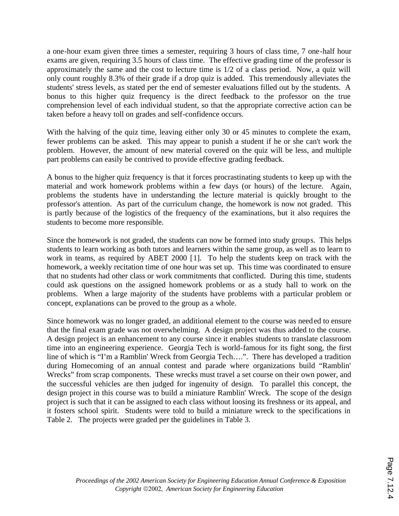a one-hour exam given three times a semester, requiring 3 hours of class time, 7 one-half hour exams are given, requiring 3.5 hours of class time. The effective grading time of the professor is approximately the same and the cost to lecture time is 1/2 of a class period. Now, a quiz will only count roughly 8.3% of their grade if a drop quiz is added. This tremendously alleviates the students' stress levels, as stated per the end of semester evaluations filled out by the students. A bonus to this higher quiz frequency is the direct feedback to the professor on the true comprehension level of each individual student, so that the appropriate corrective action can be taken before a heavy toll on grades and self-confidence occurs.

With the halving of the quiz time, leaving either only 30 or 45 minutes to complete the exam, fewer problems can be asked. This may appear to punish a student if he or she can't work the problem. However, the amount of new material covered on the quiz will be less, and multiple part problems can easily be contrived to provide effective grading feedback.

A bonus to the higher quiz frequency is that it forces procrastinating students to keep up with the material and work homework problems within a few days (or hours) of the lecture. Again, problems the students have in understanding the lecture material is quickly brought to the professor's attention. As part of the curriculum change, the homework is now not graded. This is partly because of the logistics of the frequency of the examinations, but it also requires the students to become more responsible.

Since the homework is not graded, the students can now be formed into study groups. This helps students to learn working as both tutors and learners within the same group, as well as to learn to work in teams, as required by ABET 2000 [1]. To help the students keep on track with the homework, a weekly recitation time of one hour was set up. This time was coordinated to ensure that no students had other class or work commitments that conflicted. During this time, students could ask questions on the assigned homework problems or as a study hall to work on the problems. When a large majority of the students have problems with a particular problem or concept, explanations can be proved to the group as a whole.

Since homework was no longer graded, an additional element to the course was needed to ensure that the final exam grade was not overwhelming. A design project was thus added to the course. A design project is an enhancement to any course since it enables students to translate classroom time into an engineering experience. Georgia Tech is world-famous for its fight song, the first line of which is "I'm a Ramblin' Wreck from Georgia Tech….". There has developed a tradition during Homecoming of an annual contest and parade where organizations build "Ramblin' Wrecks" from scrap components. These wrecks must travel a set course on their own power, and the successful vehicles are then judged for ingenuity of design. To parallel this concept, the design project in this course was to build a miniature Ramblin' Wreck. The scope of the design project is such that it can be assigned to each class without loosing its freshness or its appeal, and it fosters school spirit. Students were told to build a miniature wreck to the specifications in Table 2. The projects were graded per the guidelines in Table 3.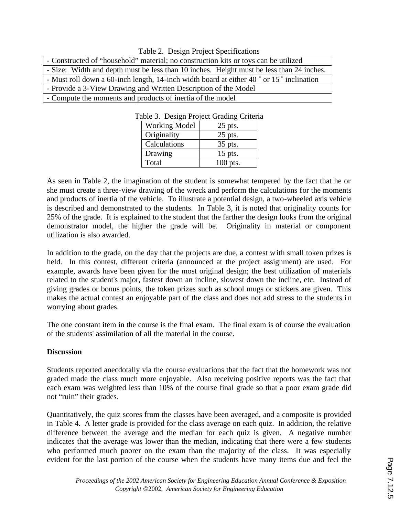| raone 2. Design Froject opeen canons                                                                      |  |  |  |  |  |
|-----------------------------------------------------------------------------------------------------------|--|--|--|--|--|
| - Constructed of "household" material; no construction kits or toys can be utilized                       |  |  |  |  |  |
| - Size: Width and depth must be less than 10 inches. Height must be less than 24 inches.                  |  |  |  |  |  |
| - Must roll down a 60-inch length, 14-inch width board at either 40 $\degree$ or 15 $\degree$ inclination |  |  |  |  |  |
| - Provide a 3-View Drawing and Written Description of the Model                                           |  |  |  |  |  |
| - Compute the moments and products of inertia of the model                                                |  |  |  |  |  |

| Table 3. Design Project Grading Criteria |           |
|------------------------------------------|-----------|
| <b>Working Model</b>                     | $25$ pts. |

Table 2. Design Project Specifications

| Working Model | 25 pts.    |
|---------------|------------|
| Originality   | $25$ pts.  |
| Calculations  | 35 pts.    |
| Drawing       | $15$ pts.  |
| Total         | $100$ pts. |

As seen in Table 2, the imagination of the student is somewhat tempered by the fact that he or she must create a three-view drawing of the wreck and perform the calculations for the moments and products of inertia of the vehicle. To illustrate a potential design, a two-wheeled axis vehicle is described and demonstrated to the students. In Table 3, it is noted that originality counts for 25% of the grade. It is explained to the student that the farther the design looks from the original demonstrator model, the higher the grade will be. Originality in material or component utilization is also awarded.

In addition to the grade, on the day that the projects are due, a contest with small token prizes is held. In this contest, different criteria (announced at the project assignment) are used. For example, awards have been given for the most original design; the best utilization of materials related to the student's major, fastest down an incline, slowest down the incline, etc. Instead of giving grades or bonus points, the token prizes such as school mugs or stickers are given. This makes the actual contest an enjoyable part of the class and does not add stress to the students i n worrying about grades.

The one constant item in the course is the final exam. The final exam is of course the evaluation of the students' assimilation of all the material in the course.

## **Discussion**

Students reported anecdotally via the course evaluations that the fact that the homework was not graded made the class much more enjoyable. Also receiving positive reports was the fact that each exam was weighted less than 10% of the course final grade so that a poor exam grade did not "ruin" their grades.

Quantitatively, the quiz scores from the classes have been averaged, and a composite is provided in Table 4. A letter grade is provided for the class average on each quiz. In addition, the relative difference between the average and the median for each quiz is given. A negative number indicates that the average was lower than the median, indicating that there were a few students who performed much poorer on the exam than the majority of the class. It was especially evident for the last portion of the course when the students have many items due and feel the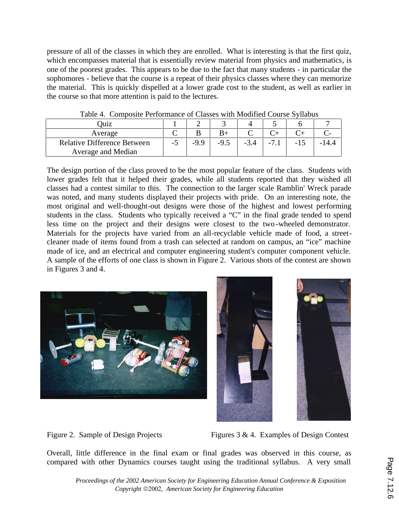pressure of all of the classes in which they are enrolled. What is interesting is that the first quiz, which encompasses material that is essentially review material from physics and mathematics, is one of the poorest grades. This appears to be due to the fact that many students - in particular the sophomores - believe that the course is a repeat of their physics classes where they can memorize the material. This is quickly dispelled at a lower grade cost to the student, as well as earlier in the course so that more attention is paid to the lectures.

| Juiz                               |  |  |  |        |              |     |
|------------------------------------|--|--|--|--------|--------------|-----|
| Average                            |  |  |  |        |              |     |
| <b>Relative Difference Between</b> |  |  |  | $-3.4$ | $\mathbf{r}$ | 4.4 |
| Average and Median                 |  |  |  |        |              |     |

Table 4. Composite Performance of Classes with Modified Course Syllabus

The design portion of the class proved to be the most popular feature of the class. Students with lower grades felt that it helped their grades, while all students reported that they wished all classes had a contest similar to this. The connection to the larger scale Ramblin' Wreck parade was noted, and many students displayed their projects with pride. On an interesting note, the most original and well-thought-out designs were those of the highest and lowest performing students in the class. Students who typically received a "C" in the final grade tended to spend less time on the project and their designs were closest to the two -wheeled demonstrator. Materials for the projects have varied from an all-recyclable vehicle made of food, a streetcleaner made of items found from a trash can selected at random on campus, an "ice" machine made of ice, and an electrical and computer engineering student's computer component vehicle. A sample of the efforts of one class is shown in Figure 2. Various shots of the contest are shown in Figures 3 and 4.



Figure 2. Sample of Design Projects Figures 3 & 4. Examples of Design Contest

Overall, little difference in the final exam or final grades was observed in this course, as compared with other Dynamics courses taught using the traditional syllabus. A very small